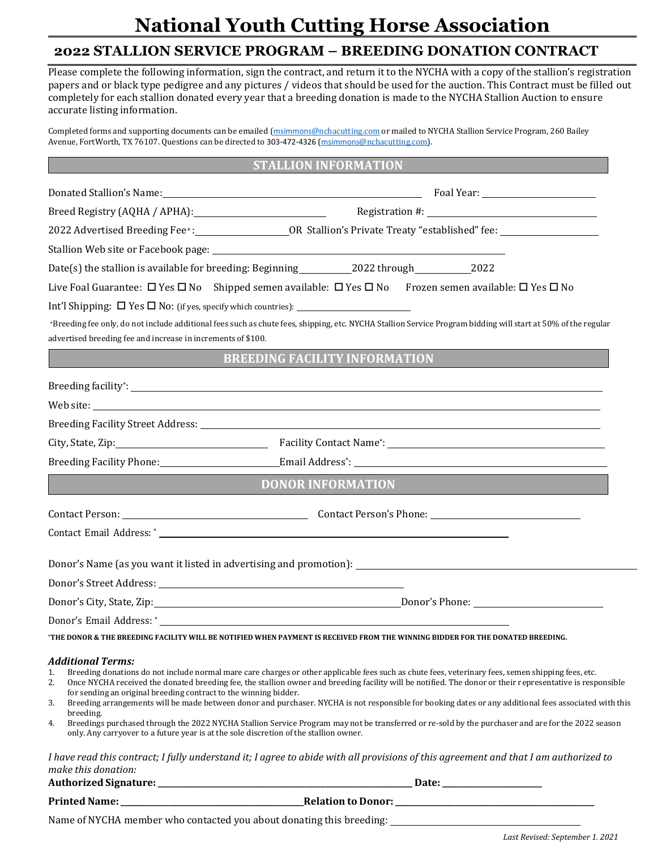### **National Youth Cutting Horse Association**

### **2022 STALLION SERVICE PROGRAM – BREEDING DONATION CONTRACT**

Please complete the following information, sign the contract, and return it to the NYCHA with a copy of the stallion's registration papers and or black type pedigree and any pictures / videos that should be used for the auction. This Contract must be filled out completely for each stallion donated every year that a breeding donation is made to the NYCHA Stallion Auction to ensure accurate listing information.

Completed forms and supporting documents can be emailed (msimmons[@nchacutting.com](mailto:youth@nchacutting.com) or mailed to NYCHA Stallion Service Program, 260 Bailey Avenue, FortWorth, TX 76107. Questions can be directed to 303-472-4326 (msimmons@nchacutting.com).

#### **STALLION INFORMATION**

|                                                                                                                                                                                                                            | Breed Registry (AQHA / APHA): Manual Communication #: Megistration #: Manual Communication #:                                                                                                                                                                                                                                                                                                                                                                                                                                                                                                                                   |
|----------------------------------------------------------------------------------------------------------------------------------------------------------------------------------------------------------------------------|---------------------------------------------------------------------------------------------------------------------------------------------------------------------------------------------------------------------------------------------------------------------------------------------------------------------------------------------------------------------------------------------------------------------------------------------------------------------------------------------------------------------------------------------------------------------------------------------------------------------------------|
|                                                                                                                                                                                                                            |                                                                                                                                                                                                                                                                                                                                                                                                                                                                                                                                                                                                                                 |
|                                                                                                                                                                                                                            |                                                                                                                                                                                                                                                                                                                                                                                                                                                                                                                                                                                                                                 |
|                                                                                                                                                                                                                            |                                                                                                                                                                                                                                                                                                                                                                                                                                                                                                                                                                                                                                 |
|                                                                                                                                                                                                                            | Live Foal Guarantee: $\Box$ Yes $\Box$ No Shipped semen available: $\Box$ Yes $\Box$ No Frozen semen available: $\Box$ Yes $\Box$ No                                                                                                                                                                                                                                                                                                                                                                                                                                                                                            |
|                                                                                                                                                                                                                            |                                                                                                                                                                                                                                                                                                                                                                                                                                                                                                                                                                                                                                 |
|                                                                                                                                                                                                                            | +Breeding fee only, do not include additional fees such as chute fees, shipping, etc. NYCHA Stallion Service Program bidding will start at 50% of the regular                                                                                                                                                                                                                                                                                                                                                                                                                                                                   |
| advertised breeding fee and increase in increments of \$100.                                                                                                                                                               |                                                                                                                                                                                                                                                                                                                                                                                                                                                                                                                                                                                                                                 |
|                                                                                                                                                                                                                            | <b>BREEDING FACILITY INFORMATION</b>                                                                                                                                                                                                                                                                                                                                                                                                                                                                                                                                                                                            |
|                                                                                                                                                                                                                            |                                                                                                                                                                                                                                                                                                                                                                                                                                                                                                                                                                                                                                 |
|                                                                                                                                                                                                                            | Web site:                                                                                                                                                                                                                                                                                                                                                                                                                                                                                                                                                                                                                       |
|                                                                                                                                                                                                                            |                                                                                                                                                                                                                                                                                                                                                                                                                                                                                                                                                                                                                                 |
|                                                                                                                                                                                                                            |                                                                                                                                                                                                                                                                                                                                                                                                                                                                                                                                                                                                                                 |
|                                                                                                                                                                                                                            |                                                                                                                                                                                                                                                                                                                                                                                                                                                                                                                                                                                                                                 |
|                                                                                                                                                                                                                            | <b>DONOR INFORMATION</b>                                                                                                                                                                                                                                                                                                                                                                                                                                                                                                                                                                                                        |
|                                                                                                                                                                                                                            |                                                                                                                                                                                                                                                                                                                                                                                                                                                                                                                                                                                                                                 |
|                                                                                                                                                                                                                            |                                                                                                                                                                                                                                                                                                                                                                                                                                                                                                                                                                                                                                 |
|                                                                                                                                                                                                                            |                                                                                                                                                                                                                                                                                                                                                                                                                                                                                                                                                                                                                                 |
|                                                                                                                                                                                                                            | Donor's Name (as you want it listed in advertising and promotion): _________________________________                                                                                                                                                                                                                                                                                                                                                                                                                                                                                                                            |
|                                                                                                                                                                                                                            |                                                                                                                                                                                                                                                                                                                                                                                                                                                                                                                                                                                                                                 |
|                                                                                                                                                                                                                            | Donor's City, State, Zip: No. 2016. The Contract of City, State, Zip: 2016. The Contract of City, State, Zip: 2016. The Contract of City, State, Zip: 2016. The Contract of City, State, Zip: 2016. The Contract of City, Stat                                                                                                                                                                                                                                                                                                                                                                                                  |
|                                                                                                                                                                                                                            |                                                                                                                                                                                                                                                                                                                                                                                                                                                                                                                                                                                                                                 |
|                                                                                                                                                                                                                            | "THE DONOR & THE BREEDING FACILITY WILL BE NOTIFIED WHEN PAYMENT IS RECEIVED FROM THE WINNING BIDDER FOR THE DONATED BREEDING.                                                                                                                                                                                                                                                                                                                                                                                                                                                                                                  |
| <b>Additional Terms:</b><br>1.<br>2.<br>for sending an original breeding contract to the winning bidder.<br>3.<br>breeding.<br>4.<br>only. Any carryover to a future year is at the sole discretion of the stallion owner. | Breeding donations do not include normal mare care charges or other applicable fees such as chute fees, veterinary fees, semen shipping fees, etc.<br>Once NYCHA received the donated breeding fee, the stallion owner and breeding facility will be notified. The donor or their representative is responsible<br>Breeding arrangements will be made between donor and purchaser. NYCHA is not responsible for booking dates or any additional fees associated with this<br>Breedings purchased through the 2022 NYCHA Stallion Service Program may not be transferred or re-sold by the purchaser and are for the 2022 season |
|                                                                                                                                                                                                                            | I have read this contract; I fully understand it; I agree to abide with all provisions of this agreement and that I am authorized to                                                                                                                                                                                                                                                                                                                                                                                                                                                                                            |
| make this donation:<br><b>Authorized Signature:</b>                                                                                                                                                                        | Date: $\_\_$                                                                                                                                                                                                                                                                                                                                                                                                                                                                                                                                                                                                                    |

**Printed Name:\_\_\_\_\_\_\_\_\_\_\_\_\_\_\_\_\_\_\_\_\_\_\_\_\_\_\_\_\_\_\_\_\_\_\_\_\_\_\_\_\_\_\_\_\_\_Relation to Donor:\_\_\_\_\_\_\_\_\_\_\_\_\_\_\_\_\_\_\_\_\_\_\_\_\_\_\_\_\_\_\_\_\_\_\_\_\_\_\_\_\_\_\_\_\_\_\_\_\_\_**

Name of NYCHA member who contacted you about donating this breeding: